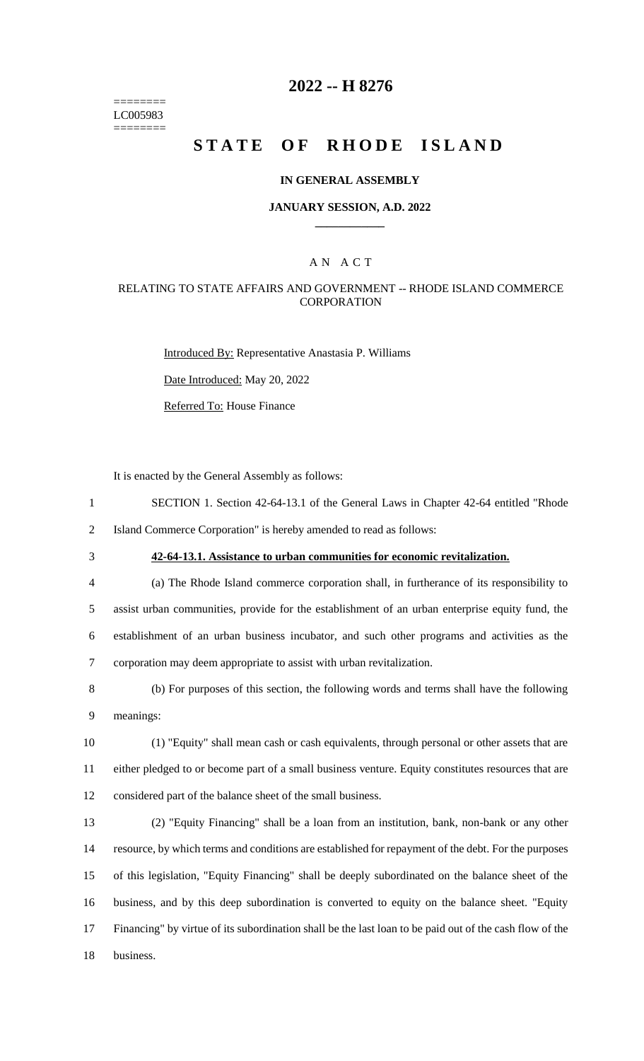======== LC005983 ========

## **2022 -- H 8276**

# **STATE OF RHODE ISLAND**

### **IN GENERAL ASSEMBLY**

### **JANUARY SESSION, A.D. 2022 \_\_\_\_\_\_\_\_\_\_\_\_**

## A N A C T

### RELATING TO STATE AFFAIRS AND GOVERNMENT -- RHODE ISLAND COMMERCE **CORPORATION**

Introduced By: Representative Anastasia P. Williams

Date Introduced: May 20, 2022

Referred To: House Finance

It is enacted by the General Assembly as follows:

- 1 SECTION 1. Section 42-64-13.1 of the General Laws in Chapter 42-64 entitled "Rhode 2 Island Commerce Corporation" is hereby amended to read as follows:
- 

## 3 **42-64-13.1. Assistance to urban communities for economic revitalization.**

 (a) The Rhode Island commerce corporation shall, in furtherance of its responsibility to assist urban communities, provide for the establishment of an urban enterprise equity fund, the establishment of an urban business incubator, and such other programs and activities as the corporation may deem appropriate to assist with urban revitalization.

8 (b) For purposes of this section, the following words and terms shall have the following 9 meanings:

10 (1) "Equity" shall mean cash or cash equivalents, through personal or other assets that are 11 either pledged to or become part of a small business venture. Equity constitutes resources that are 12 considered part of the balance sheet of the small business.

 (2) "Equity Financing" shall be a loan from an institution, bank, non-bank or any other resource, by which terms and conditions are established for repayment of the debt. For the purposes of this legislation, "Equity Financing" shall be deeply subordinated on the balance sheet of the business, and by this deep subordination is converted to equity on the balance sheet. "Equity Financing" by virtue of its subordination shall be the last loan to be paid out of the cash flow of the 18 business.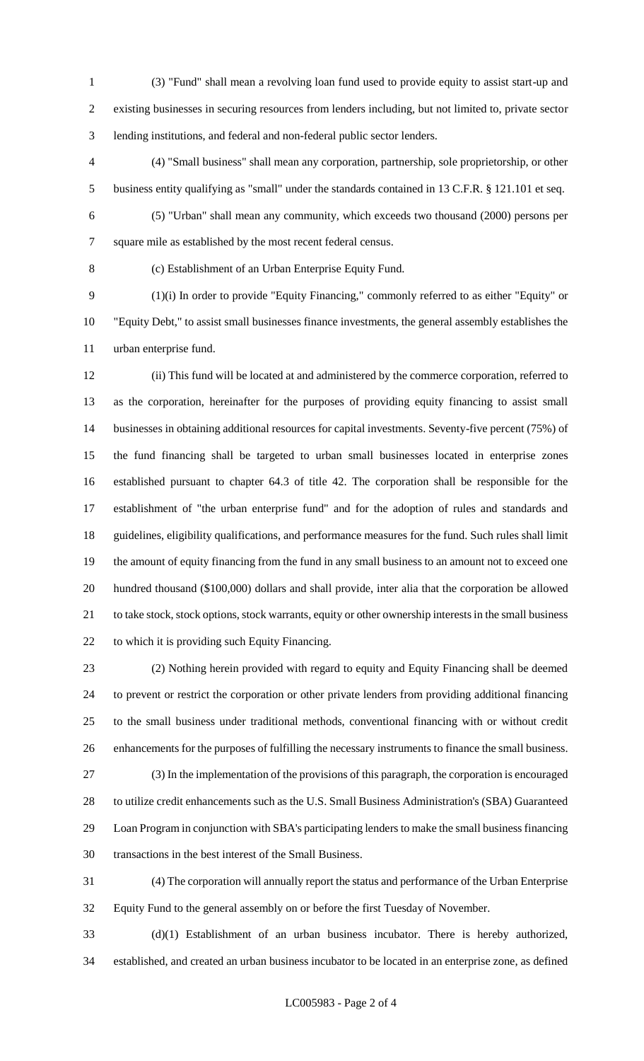(3) "Fund" shall mean a revolving loan fund used to provide equity to assist start-up and existing businesses in securing resources from lenders including, but not limited to, private sector lending institutions, and federal and non-federal public sector lenders.

 (4) "Small business" shall mean any corporation, partnership, sole proprietorship, or other business entity qualifying as "small" under the standards contained in 13 C.F.R. § 121.101 et seq.

(5) "Urban" shall mean any community, which exceeds two thousand (2000) persons per

square mile as established by the most recent federal census.

(c) Establishment of an Urban Enterprise Equity Fund.

 (1)(i) In order to provide "Equity Financing," commonly referred to as either "Equity" or "Equity Debt," to assist small businesses finance investments, the general assembly establishes the urban enterprise fund.

 (ii) This fund will be located at and administered by the commerce corporation, referred to as the corporation, hereinafter for the purposes of providing equity financing to assist small businesses in obtaining additional resources for capital investments. Seventy-five percent (75%) of the fund financing shall be targeted to urban small businesses located in enterprise zones established pursuant to chapter 64.3 of title 42. The corporation shall be responsible for the establishment of "the urban enterprise fund" and for the adoption of rules and standards and guidelines, eligibility qualifications, and performance measures for the fund. Such rules shall limit the amount of equity financing from the fund in any small business to an amount not to exceed one hundred thousand (\$100,000) dollars and shall provide, inter alia that the corporation be allowed to take stock, stock options, stock warrants, equity or other ownership interests in the small business to which it is providing such Equity Financing.

 (2) Nothing herein provided with regard to equity and Equity Financing shall be deemed to prevent or restrict the corporation or other private lenders from providing additional financing to the small business under traditional methods, conventional financing with or without credit enhancements for the purposes of fulfilling the necessary instruments to finance the small business. (3) In the implementation of the provisions of this paragraph, the corporation is encouraged to utilize credit enhancements such as the U.S. Small Business Administration's (SBA) Guaranteed Loan Program in conjunction with SBA's participating lenders to make the small business financing transactions in the best interest of the Small Business.

 (4) The corporation will annually report the status and performance of the Urban Enterprise Equity Fund to the general assembly on or before the first Tuesday of November.

 (d)(1) Establishment of an urban business incubator. There is hereby authorized, established, and created an urban business incubator to be located in an enterprise zone, as defined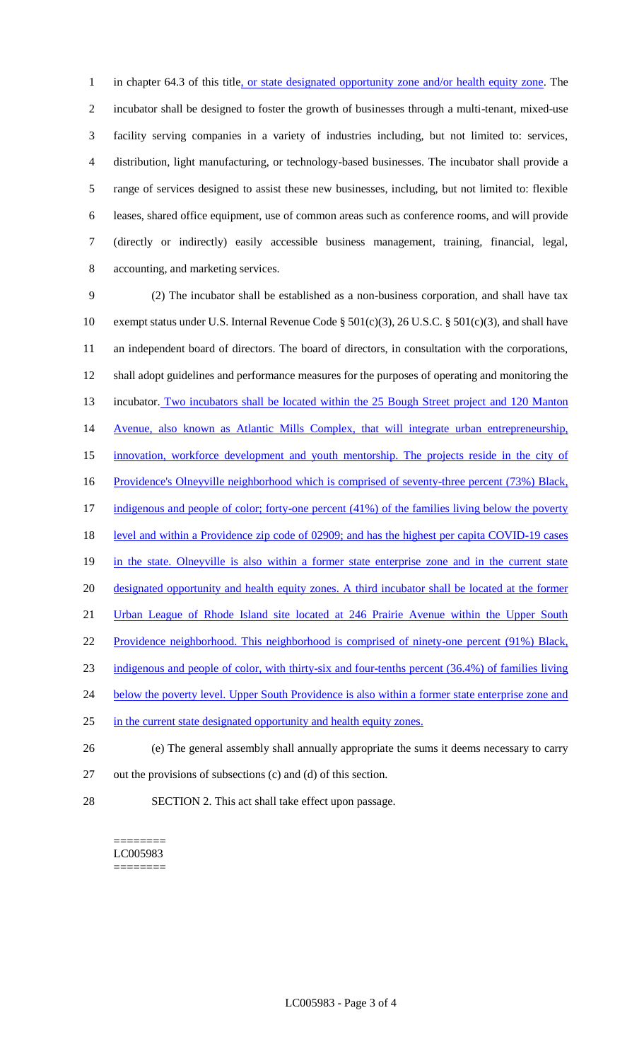1 in chapter 64.3 of this title, or state designated opportunity zone and/or health equity zone. The incubator shall be designed to foster the growth of businesses through a multi-tenant, mixed-use facility serving companies in a variety of industries including, but not limited to: services, distribution, light manufacturing, or technology-based businesses. The incubator shall provide a range of services designed to assist these new businesses, including, but not limited to: flexible leases, shared office equipment, use of common areas such as conference rooms, and will provide (directly or indirectly) easily accessible business management, training, financial, legal, accounting, and marketing services.

9 (2) The incubator shall be established as a non-business corporation, and shall have tax 10 exempt status under U.S. Internal Revenue Code § 501(c)(3), 26 U.S.C. § 501(c)(3), and shall have 11 an independent board of directors. The board of directors, in consultation with the corporations, 12 shall adopt guidelines and performance measures for the purposes of operating and monitoring the 13 incubator. Two incubators shall be located within the 25 Bough Street project and 120 Manton 14 Avenue, also known as Atlantic Mills Complex, that will integrate urban entrepreneurship, 15 innovation, workforce development and youth mentorship. The projects reside in the city of 16 Providence's Olneyville neighborhood which is comprised of seventy-three percent (73%) Black, 17 indigenous and people of color; forty-one percent (41%) of the families living below the poverty 18 level and within a Providence zip code of 02909; and has the highest per capita COVID-19 cases 19 in the state. Olneyville is also within a former state enterprise zone and in the current state 20 designated opportunity and health equity zones. A third incubator shall be located at the former 21 Urban League of Rhode Island site located at 246 Prairie Avenue within the Upper South 22 Providence neighborhood. This neighborhood is comprised of ninety-one percent (91%) Black, 23 indigenous and people of color, with thirty-six and four-tenths percent (36.4%) of families living 24 below the poverty level. Upper South Providence is also within a former state enterprise zone and 25 in the current state designated opportunity and health equity zones. 26 (e) The general assembly shall annually appropriate the sums it deems necessary to carry

- 27 out the provisions of subsections (c) and (d) of this section.
- 28 SECTION 2. This act shall take effect upon passage.

======== LC005983 ========